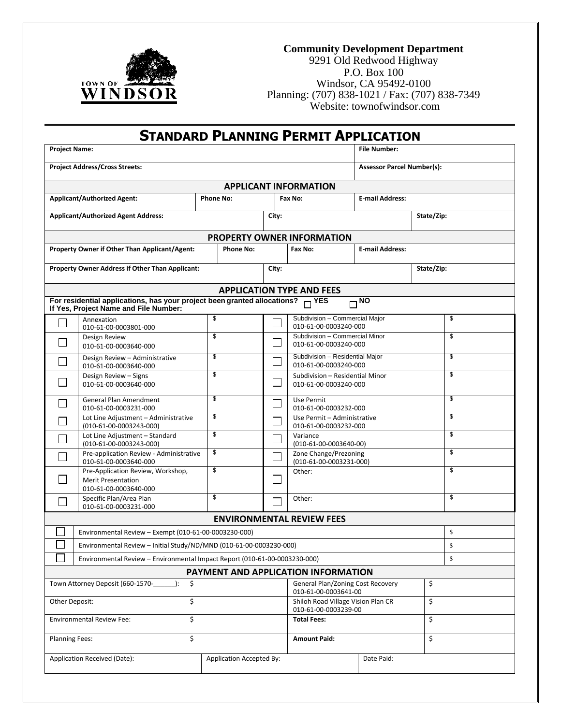

#### **Community Development Department**

9291 Old Redwood Highway P.O. Box 100 Windsor, CA 95492-0100 Planning: (707) 838-1021 / Fax: (707) 838-7349 Website: townofwindsor.com

| <b>STANDARD PLANNING PERMIT APPLICATION</b>                                   |                                                                                                     |    |                  |                     |                                                                |                                   |            |    |
|-------------------------------------------------------------------------------|-----------------------------------------------------------------------------------------------------|----|------------------|---------------------|----------------------------------------------------------------|-----------------------------------|------------|----|
| <b>Project Name:</b><br><b>File Number:</b>                                   |                                                                                                     |    |                  |                     |                                                                |                                   |            |    |
|                                                                               | <b>Project Address/Cross Streets:</b>                                                               |    |                  |                     |                                                                | <b>Assessor Parcel Number(s):</b> |            |    |
|                                                                               |                                                                                                     |    |                  |                     | <b>APPLICANT INFORMATION</b>                                   |                                   |            |    |
|                                                                               | <b>Applicant/Authorized Agent:</b>                                                                  |    | <b>Phone No:</b> |                     | Fax No:                                                        | <b>E-mail Address:</b>            |            |    |
|                                                                               | <b>Applicant/Authorized Agent Address:</b>                                                          |    |                  | City:               |                                                                |                                   | State/Zip: |    |
|                                                                               |                                                                                                     |    |                  |                     | <b>PROPERTY OWNER INFORMATION</b>                              |                                   |            |    |
|                                                                               | Property Owner if Other Than Applicant/Agent:                                                       |    | <b>Phone No:</b> |                     | Fax No:                                                        | <b>E-mail Address:</b>            |            |    |
|                                                                               | Property Owner Address if Other Than Applicant:                                                     |    |                  | City:               |                                                                |                                   | State/Zip: |    |
|                                                                               |                                                                                                     |    |                  |                     | <b>APPLICATION TYPE AND FEES</b>                               |                                   |            |    |
|                                                                               | For residential applications, has your project been granted allocations?                            |    |                  |                     | $-$ YES                                                        | $\neg \overline{\text{NO}}$       |            |    |
|                                                                               | If Yes, Project Name and File Number:<br>Annexation                                                 |    | \$               |                     | Subdivision - Commercial Major                                 |                                   |            | \$ |
|                                                                               | 010-61-00-0003801-000                                                                               |    |                  |                     | 010-61-00-0003240-000                                          |                                   |            |    |
|                                                                               | Design Review<br>010-61-00-0003640-000                                                              |    | \$               |                     | Subdivision - Commercial Minor<br>010-61-00-0003240-000        |                                   |            | \$ |
|                                                                               | Design Review - Administrative<br>010-61-00-0003640-000                                             |    | \$               | $\mathcal{L}$       | Subdivision - Residential Major<br>010-61-00-0003240-000       |                                   |            | \$ |
|                                                                               | Design Review - Signs<br>010-61-00-0003640-000                                                      |    | \$               | $\mathbb{R}^2$      | \$<br>Subdivision - Residential Minor<br>010-61-00-0003240-000 |                                   |            |    |
|                                                                               | \$<br><b>General Plan Amendment</b><br>Use Permit<br>010-61-00-0003231-000<br>010-61-00-0003232-000 |    |                  |                     | \$                                                             |                                   |            |    |
|                                                                               | \$<br>Lot Line Adjustment - Administrative<br>$(010-61-00-0003243-000)$                             |    |                  | $\mathbb{R}^2$      | Use Permit - Administrative<br>010-61-00-0003232-000           |                                   |            | \$ |
|                                                                               | \$<br>Lot Line Adjustment - Standard<br>(010-61-00-0003243-000)                                     |    |                  |                     | Variance<br>$(010-61-00-0003640-00)$                           |                                   |            | \$ |
|                                                                               | Pre-application Review - Administrative<br>010-61-00-0003640-000                                    |    | \$               |                     | Zone Change/Prezoning<br>$(010-61-00-0003231-000)$             |                                   |            | \$ |
|                                                                               | Pre-Application Review, Workshop,<br><b>Merit Presentation</b><br>010-61-00-0003640-000             |    | \$               |                     | \$<br>Other:                                                   |                                   |            |    |
|                                                                               | Specific Plan/Area Plan<br>010-61-00-0003231-000                                                    |    | \$               |                     | Other:                                                         |                                   |            | \$ |
|                                                                               |                                                                                                     |    |                  |                     | <b>ENVIRONMENTAL REVIEW FEES</b>                               |                                   |            |    |
|                                                                               | Environmental Review - Exempt (010-61-00-0003230-000)                                               |    |                  |                     |                                                                |                                   |            | \$ |
|                                                                               | Environmental Review - Initial Study/ND/MND (010-61-00-0003230-000)                                 |    |                  |                     |                                                                |                                   |            | \$ |
|                                                                               | Environmental Review - Environmental Impact Report (010-61-00-0003230-000)                          |    |                  |                     |                                                                |                                   |            | \$ |
|                                                                               |                                                                                                     |    |                  |                     | PAYMENT AND APPLICATION INFORMATION                            |                                   |            |    |
|                                                                               | Town Attorney Deposit (660-1570-<br>$\cdot$                                                         | \$ |                  |                     | General Plan/Zoning Cost Recovery<br>010-61-00-0003641-00      |                                   | \$         |    |
| Other Deposit:                                                                |                                                                                                     | \$ |                  |                     | Shiloh Road Village Vision Plan CR<br>010-61-00-0003239-00     |                                   | \$         |    |
|                                                                               | <b>Environmental Review Fee:</b>                                                                    | \$ |                  |                     | <b>Total Fees:</b>                                             |                                   | \$         |    |
| <b>Planning Fees:</b>                                                         |                                                                                                     | \$ |                  | <b>Amount Paid:</b> |                                                                |                                   | \$         |    |
| Application Received (Date):<br><b>Application Accepted By:</b><br>Date Paid: |                                                                                                     |    |                  |                     |                                                                |                                   |            |    |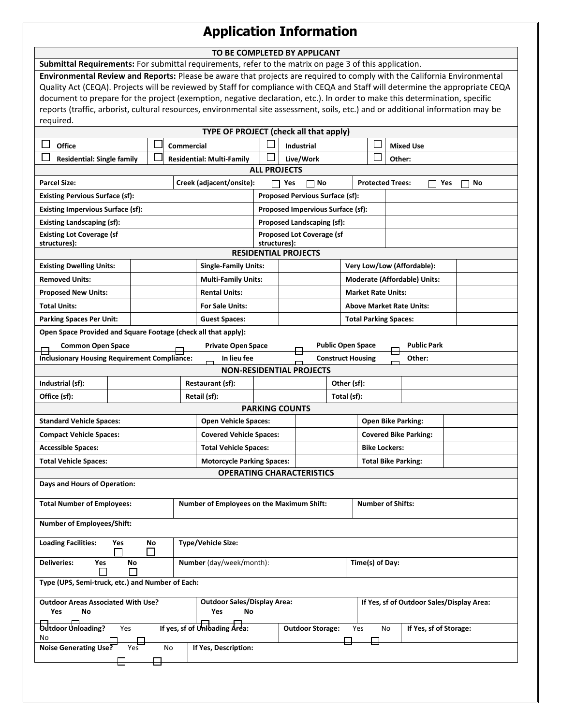# **Application Information**

| TO BE COMPLETED BY APPLICANT |  |
|------------------------------|--|
|                              |  |

| Submittal Requirements: For submittal requirements, refer to the matrix on page 3 of this application.                           |            |                                                                       |                     |                                        |                              |                           |                  |                                           |           |
|----------------------------------------------------------------------------------------------------------------------------------|------------|-----------------------------------------------------------------------|---------------------|----------------------------------------|------------------------------|---------------------------|------------------|-------------------------------------------|-----------|
| Environmental Review and Reports: Please be aware that projects are required to comply with the California Environmental         |            |                                                                       |                     |                                        |                              |                           |                  |                                           |           |
| Quality Act (CEQA). Projects will be reviewed by Staff for compliance with CEQA and Staff will determine the appropriate CEQA    |            |                                                                       |                     |                                        |                              |                           |                  |                                           |           |
| document to prepare for the project (exemption, negative declaration, etc.). In order to make this determination, specific       |            |                                                                       |                     |                                        |                              |                           |                  |                                           |           |
| reports (traffic, arborist, cultural resources, environmental site assessment, soils, etc.) and or additional information may be |            |                                                                       |                     |                                        |                              |                           |                  |                                           |           |
| required.                                                                                                                        |            |                                                                       |                     |                                        |                              |                           |                  |                                           |           |
| Office                                                                                                                           |            | TYPE OF PROJECT (check all that apply)                                |                     |                                        |                              |                           |                  |                                           |           |
|                                                                                                                                  | Commercial |                                                                       |                     | Industrial                             |                              |                           | <b>Mixed Use</b> |                                           |           |
| <b>Residential: Single family</b>                                                                                                |            | <b>Residential: Multi-Family</b>                                      | <b>ALL PROJECTS</b> | Live/Work                              |                              |                           |                  | Other:                                    |           |
| <b>Parcel Size:</b>                                                                                                              |            | Creek (adjacent/onsite):                                              |                     | Yes<br>No                              |                              |                           |                  | <b>Protected Trees:</b>                   | Yes<br>No |
| <b>Existing Pervious Surface (sf):</b>                                                                                           |            |                                                                       |                     | <b>Proposed Pervious Surface (sf):</b> |                              |                           |                  |                                           |           |
| <b>Existing Impervious Surface (sf):</b>                                                                                         |            |                                                                       |                     | Proposed Impervious Surface (sf):      |                              |                           |                  |                                           |           |
| <b>Existing Landscaping (sf):</b>                                                                                                |            |                                                                       |                     | Proposed Landscaping (sf):             |                              |                           |                  |                                           |           |
| <b>Existing Lot Coverage (sf</b>                                                                                                 |            |                                                                       |                     | Proposed Lot Coverage (sf              |                              |                           |                  |                                           |           |
| structures):                                                                                                                     |            |                                                                       | structures):        |                                        |                              |                           |                  |                                           |           |
|                                                                                                                                  |            |                                                                       |                     | <b>RESIDENTIAL PROJECTS</b>            |                              |                           |                  |                                           |           |
| <b>Existing Dwelling Units:</b>                                                                                                  |            | <b>Single-Family Units:</b>                                           |                     |                                        |                              |                           |                  | Very Low/Low (Affordable):                |           |
| <b>Removed Units:</b>                                                                                                            |            | <b>Multi-Family Units:</b>                                            |                     |                                        |                              |                           |                  | <b>Moderate (Affordable) Units:</b>       |           |
| <b>Proposed New Units:</b>                                                                                                       |            | <b>Rental Units:</b>                                                  |                     |                                        |                              | <b>Market Rate Units:</b> |                  |                                           |           |
| <b>Total Units:</b>                                                                                                              |            | <b>For Sale Units:</b>                                                |                     |                                        |                              |                           |                  | <b>Above Market Rate Units:</b>           |           |
| <b>Parking Spaces Per Unit:</b>                                                                                                  |            | <b>Guest Spaces:</b>                                                  |                     |                                        |                              |                           |                  | <b>Total Parking Spaces:</b>              |           |
| Open Space Provided and Square Footage (check all that apply):                                                                   |            |                                                                       |                     |                                        |                              |                           |                  |                                           |           |
| <b>Common Open Space</b>                                                                                                         |            | <b>Private Open Space</b>                                             |                     |                                        |                              | <b>Public Open Space</b>  |                  | <b>Public Park</b>                        |           |
| <b>Inclusionary Housing Requirement Compliance:</b>                                                                              |            | In lieu fee                                                           |                     |                                        |                              | <b>Construct Housing</b>  |                  | Other:                                    |           |
|                                                                                                                                  |            |                                                                       |                     | <b>NON-RESIDENTIAL PROJECTS</b>        |                              |                           |                  |                                           |           |
| Industrial (sf):                                                                                                                 |            |                                                                       |                     | Restaurant (sf):                       |                              |                           | Other (sf):      |                                           |           |
| Office (sf):<br>Retail (sf):<br>Total (sf):<br><b>PARKING COUNTS</b>                                                             |            |                                                                       |                     |                                        |                              |                           |                  |                                           |           |
| <b>Standard Vehicle Spaces:</b>                                                                                                  |            | <b>Open Vehicle Spaces:</b>                                           |                     |                                        |                              |                           |                  | <b>Open Bike Parking:</b>                 |           |
| <b>Compact Vehicle Spaces:</b>                                                                                                   |            | <b>Covered Vehicle Spaces:</b>                                        |                     |                                        | <b>Covered Bike Parking:</b> |                           |                  |                                           |           |
| <b>Accessible Spaces:</b>                                                                                                        |            | <b>Total Vehicle Spaces:</b>                                          |                     |                                        | <b>Bike Lockers:</b>         |                           |                  |                                           |           |
| <b>Total Vehicle Spaces:</b>                                                                                                     |            |                                                                       |                     |                                        | <b>Total Bike Parking:</b>   |                           |                  |                                           |           |
|                                                                                                                                  |            | <b>Motorcycle Parking Spaces:</b><br><b>OPERATING CHARACTERISTICS</b> |                     |                                        |                              |                           |                  |                                           |           |
| Days and Hours of Operation:                                                                                                     |            |                                                                       |                     |                                        |                              |                           |                  |                                           |           |
|                                                                                                                                  |            |                                                                       |                     |                                        |                              |                           |                  |                                           |           |
| <b>Total Number of Employees:</b>                                                                                                |            | Number of Employees on the Maximum Shift:                             |                     |                                        |                              |                           |                  | <b>Number of Shifts:</b>                  |           |
| <b>Number of Employees/Shift:</b>                                                                                                |            |                                                                       |                     |                                        |                              |                           |                  |                                           |           |
| <b>Loading Facilities:</b><br>Yes<br>No                                                                                          |            | Type/Vehicle Size:                                                    |                     |                                        |                              |                           |                  |                                           |           |
|                                                                                                                                  |            |                                                                       |                     |                                        |                              |                           |                  |                                           |           |
| Number (day/week/month):<br><b>Deliveries:</b><br>Yes<br>No                                                                      |            |                                                                       |                     |                                        |                              | Time(s) of Day:           |                  |                                           |           |
| Type (UPS, Semi-truck, etc.) and Number of Each:                                                                                 |            |                                                                       |                     |                                        |                              |                           |                  |                                           |           |
| <b>Outdoor Areas Associated With Use?</b>                                                                                        |            | <b>Outdoor Sales/Display Area:</b>                                    |                     |                                        |                              |                           |                  | If Yes, sf of Outdoor Sales/Display Area: |           |
| Yes<br>No                                                                                                                        |            | Yes<br>No                                                             |                     |                                        |                              |                           |                  |                                           |           |
| Outdoor Unloading?<br>Yes                                                                                                        |            | If yes, sf of Unibading Area:                                         |                     | <b>Outdoor Storage:</b>                |                              | Yes                       | No               | If Yes, sf of Storage:                    |           |
| No                                                                                                                               |            |                                                                       |                     |                                        |                              |                           |                  |                                           |           |
| Noise Generating Use?<br>Yes                                                                                                     | No         | If Yes, Description:                                                  |                     |                                        |                              |                           |                  |                                           |           |
|                                                                                                                                  |            |                                                                       |                     |                                        |                              |                           |                  |                                           |           |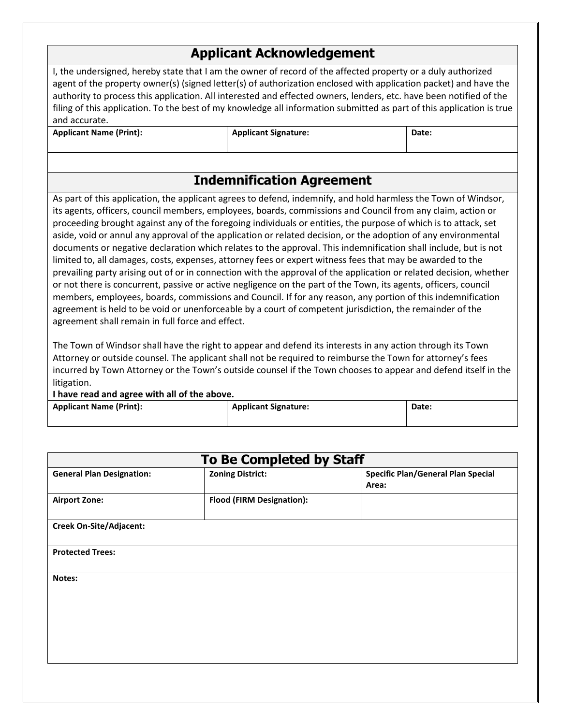### **Applicant Acknowledgement**

I, the undersigned, hereby state that I am the owner of record of the affected property or a duly authorized agent of the property owner(s) (signed letter(s) of authorization enclosed with application packet) and have the authority to process this application. All interested and effected owners, lenders, etc. have been notified of the filing of this application. To the best of my knowledge all information submitted as part of this application is true and accurate.

| <b>Applicant Name (Print):</b> |  |
|--------------------------------|--|
|--------------------------------|--|

Applicant Signature: **Applicant Signature: Pate: Date:** 

# **Indemnification Agreement**

As part of this application, the applicant agrees to defend, indemnify, and hold harmless the Town of Windsor, its agents, officers, council members, employees, boards, commissions and Council from any claim, action or proceeding brought against any of the foregoing individuals or entities, the purpose of which is to attack, set aside, void or annul any approval of the application or related decision, or the adoption of any environmental documents or negative declaration which relates to the approval. This indemnification shall include, but is not limited to, all damages, costs, expenses, attorney fees or expert witness fees that may be awarded to the prevailing party arising out of or in connection with the approval of the application or related decision, whether or not there is concurrent, passive or active negligence on the part of the Town, its agents, officers, council members, employees, boards, commissions and Council. If for any reason, any portion of this indemnification agreement is held to be void or unenforceable by a court of competent jurisdiction, the remainder of the agreement shall remain in full force and effect.

The Town of Windsor shall have the right to appear and defend its interests in any action through its Town Attorney or outside counsel. The applicant shall not be required to reimburse the Town for attorney's fees incurred by Town Attorney or the Town's outside counsel if the Town chooses to appear and defend itself in the litigation.

**I have read and agree with all of the above.**

**Applicant Name (Print): Applicant Signature: Applicant Signature: Date: Date:** 

| <b>To Be Completed by Staff</b>  |                                  |                                                    |  |  |  |  |
|----------------------------------|----------------------------------|----------------------------------------------------|--|--|--|--|
| <b>General Plan Designation:</b> | <b>Zoning District:</b>          | <b>Specific Plan/General Plan Special</b><br>Area: |  |  |  |  |
| <b>Airport Zone:</b>             | <b>Flood (FIRM Designation):</b> |                                                    |  |  |  |  |
| Creek On-Site/Adjacent:          |                                  |                                                    |  |  |  |  |
| <b>Protected Trees:</b>          |                                  |                                                    |  |  |  |  |
| Notes:                           |                                  |                                                    |  |  |  |  |
|                                  |                                  |                                                    |  |  |  |  |
|                                  |                                  |                                                    |  |  |  |  |
|                                  |                                  |                                                    |  |  |  |  |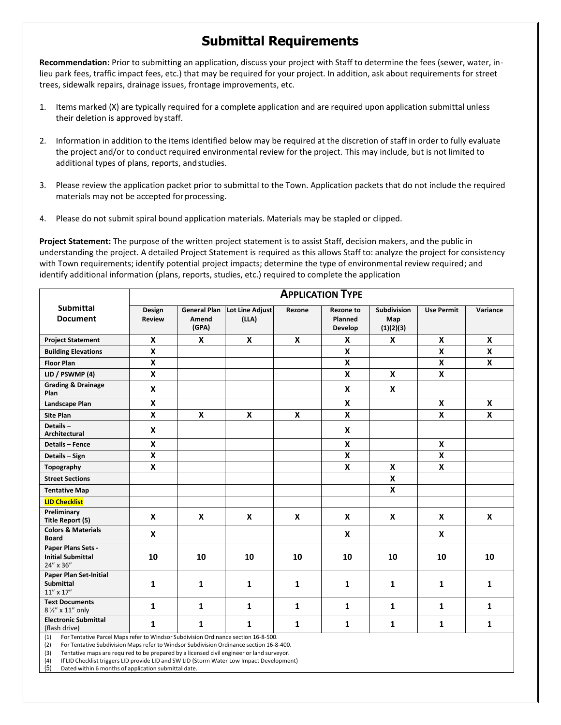# **Submittal Requirements**

**Recommendation:** Prior to submitting an application, discuss your project with Staff to determine the fees (sewer, water, inlieu park fees, traffic impact fees, etc.) that may be required for your project. In addition, ask about requirements for street trees, sidewalk repairs, drainage issues, frontage improvements, etc.

- 1. Items marked (X) are typically required for a complete application and are required upon application submittal unless their deletion is approved by staff.
- 2. Information in addition to the items identified below may be required at the discretion of staff in order to fully evaluate the project and/or to conduct required environmental review for the project. This may include, but is not limited to additional types of plans, reports, andstudies.
- 3. Please review the application packet prior to submittal to the Town. Application packets that do not include the required materials may not be accepted for processing.
- 4. Please do not submit spiral bound application materials. Materials may be stapled or clipped.

**Project Statement:** The purpose of the written project statement is to assist Staff, decision makers, and the public in understanding the project. A detailed Project Statement is required as this allows Staff to: analyze the project for consistency with Town requirements; identify potential project impacts; determine the type of environmental review required; and identify additional information (plans, reports, studies, etc.) required to complete the application

|                                                                                                                                                                                         | <b>APPLICATION TYPE</b> |                                       |                          |              |                                        |                                 |                         |              |  |
|-----------------------------------------------------------------------------------------------------------------------------------------------------------------------------------------|-------------------------|---------------------------------------|--------------------------|--------------|----------------------------------------|---------------------------------|-------------------------|--------------|--|
| <b>Submittal</b><br><b>Document</b>                                                                                                                                                     | Design<br><b>Review</b> | <b>General Plan</b><br>Amend<br>(GPA) | Lot Line Adjust<br>(LLA) | Rezone       | <b>Rezone to</b><br>Planned<br>Develop | Subdivision<br>Map<br>(1)(2)(3) | <b>Use Permit</b>       | Variance     |  |
| <b>Project Statement</b>                                                                                                                                                                | X                       | X                                     | $\mathbf{x}$             | $\mathbf x$  | X                                      | $\boldsymbol{x}$                | X                       | X            |  |
| <b>Building Elevations</b>                                                                                                                                                              | X                       |                                       |                          |              | X                                      |                                 | X                       | $\mathbf x$  |  |
| <b>Floor Plan</b>                                                                                                                                                                       | X                       |                                       |                          |              | X                                      |                                 | X                       | X            |  |
| LID / PSWMP (4)                                                                                                                                                                         | X                       |                                       |                          |              | X                                      | $\mathbf{x}$                    | X                       |              |  |
| <b>Grading &amp; Drainage</b><br>Plan                                                                                                                                                   | X                       |                                       |                          |              | X                                      | $\boldsymbol{\mathsf{x}}$       |                         |              |  |
| Landscape Plan                                                                                                                                                                          | $\overline{\mathbf{x}}$ |                                       |                          |              | X                                      |                                 | $\boldsymbol{x}$        | $\mathbf x$  |  |
| <b>Site Plan</b>                                                                                                                                                                        | X                       | X                                     | X                        | $\mathbf x$  | X                                      |                                 | X                       | X            |  |
| Details-<br>Architectural                                                                                                                                                               | X                       |                                       |                          |              | X                                      |                                 |                         |              |  |
| <b>Details - Fence</b>                                                                                                                                                                  | X                       |                                       |                          |              | X                                      |                                 | $\boldsymbol{x}$        |              |  |
| Details - Sign                                                                                                                                                                          | $\overline{\mathbf{x}}$ |                                       |                          |              | X                                      |                                 | $\overline{\mathbf{x}}$ |              |  |
| Topography                                                                                                                                                                              | X                       |                                       |                          |              | X                                      | X                               | X                       |              |  |
| <b>Street Sections</b>                                                                                                                                                                  |                         |                                       |                          |              |                                        | X                               |                         |              |  |
| <b>Tentative Map</b>                                                                                                                                                                    |                         |                                       |                          |              |                                        | X                               |                         |              |  |
| <b>LID Checklist</b>                                                                                                                                                                    |                         |                                       |                          |              |                                        |                                 |                         |              |  |
| Preliminary<br>Title Report (5)                                                                                                                                                         | X                       | X                                     | X                        | $\mathbf{x}$ | X                                      | $\boldsymbol{\mathsf{x}}$       | $\mathbf{x}$            | $\mathsf{x}$ |  |
| <b>Colors &amp; Materials</b><br><b>Board</b>                                                                                                                                           | X                       |                                       |                          |              | X                                      |                                 | X                       |              |  |
| Paper Plans Sets -<br><b>Initial Submittal</b><br>24" x 36"                                                                                                                             | 10                      | 10                                    | 10                       | 10           | 10                                     | 10                              | 10                      | 10           |  |
| Paper Plan Set-Initial<br><b>Submittal</b><br>$11^{\prime\prime} \times 17^{\prime\prime}$                                                                                              | 1                       | $\mathbf{1}$                          | 1                        | 1            | $\mathbf{1}$                           | $\mathbf{1}$                    | 1                       | 1            |  |
| <b>Text Documents</b><br>8 1/2" x 11" only                                                                                                                                              | $\mathbf{1}$            | $\mathbf{1}$                          | $\mathbf{1}$             | 1            | $\mathbf{1}$                           | $\mathbf{1}$                    | $\mathbf{1}$            | $\mathbf{1}$ |  |
| <b>Electronic Submittal</b><br>(flash drive)                                                                                                                                            | $\mathbf{1}$            | $\mathbf{1}$                          | 1                        | 1            | 1                                      | 1                               | 1                       | 1            |  |
| For Tentative Parcel Maps refer to Windsor Subdivision Ordinance section 16-8-500.<br>(1)<br>(3) Eas Tantative Cubdivision Mans refer to Windoos Cubdivision Ordinance costiga 16.0.400 |                         |                                       |                          |              |                                        |                                 |                         |              |  |

(2) For Tentative Subdivision Maps refer to Windsor Subdivision Ordinance section 16-8-400.

(3) Tentative maps are required to be prepared by a licensed civil engineer or land surveyor.

(4) If LID Checklist triggers LID provide LID and SW LID (Storm Water Low Impact Development)

(5) Dated within 6 months of application submittal date.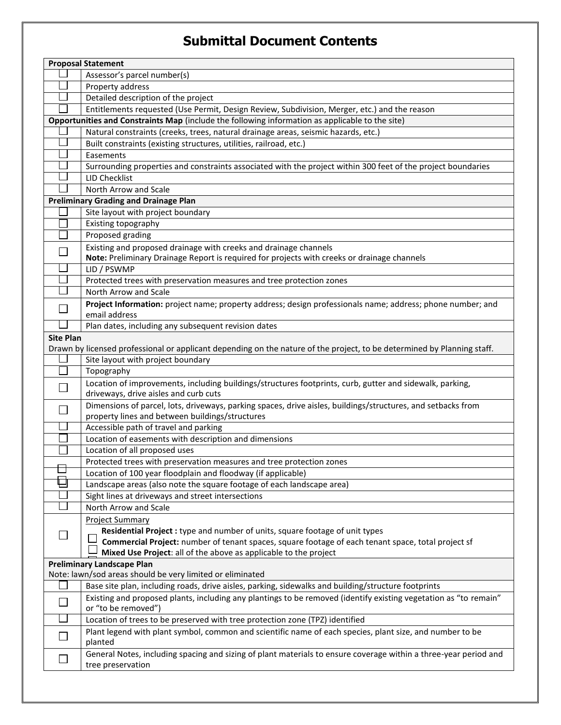## **Submittal Document Contents**

|                  | <b>Proposal Statement</b>                                                                                                                         |
|------------------|---------------------------------------------------------------------------------------------------------------------------------------------------|
|                  | Assessor's parcel number(s)                                                                                                                       |
|                  | Property address                                                                                                                                  |
|                  | Detailed description of the project                                                                                                               |
|                  | Entitlements requested (Use Permit, Design Review, Subdivision, Merger, etc.) and the reason                                                      |
|                  | Opportunities and Constraints Map (include the following information as applicable to the site)                                                   |
|                  | Natural constraints (creeks, trees, natural drainage areas, seismic hazards, etc.)                                                                |
|                  | Built constraints (existing structures, utilities, railroad, etc.)                                                                                |
|                  | Easements                                                                                                                                         |
|                  | Surrounding properties and constraints associated with the project within 300 feet of the project boundaries                                      |
|                  | <b>LID Checklist</b>                                                                                                                              |
|                  | North Arrow and Scale                                                                                                                             |
|                  | <b>Preliminary Grading and Drainage Plan</b>                                                                                                      |
|                  | Site layout with project boundary                                                                                                                 |
|                  | Existing topography                                                                                                                               |
|                  | Proposed grading                                                                                                                                  |
|                  | Existing and proposed drainage with creeks and drainage channels                                                                                  |
|                  | Note: Preliminary Drainage Report is required for projects with creeks or drainage channels                                                       |
|                  | LID / PSWMP                                                                                                                                       |
|                  | Protected trees with preservation measures and tree protection zones                                                                              |
|                  | North Arrow and Scale                                                                                                                             |
|                  | Project Information: project name; property address; design professionals name; address; phone number; and                                        |
|                  | email address                                                                                                                                     |
|                  | Plan dates, including any subsequent revision dates                                                                                               |
| <b>Site Plan</b> |                                                                                                                                                   |
|                  | Drawn by licensed professional or applicant depending on the nature of the project, to be determined by Planning staff.                           |
|                  | Site layout with project boundary                                                                                                                 |
|                  | Topography                                                                                                                                        |
|                  | Location of improvements, including buildings/structures footprints, curb, gutter and sidewalk, parking,<br>driveways, drive aisles and curb cuts |
|                  | Dimensions of parcel, lots, driveways, parking spaces, drive aisles, buildings/structures, and setbacks from                                      |
|                  | property lines and between buildings/structures                                                                                                   |
|                  | Accessible path of travel and parking                                                                                                             |
|                  | Location of easements with description and dimensions                                                                                             |
|                  | Location of all proposed uses                                                                                                                     |
|                  | Protected trees with preservation measures and tree protection zones                                                                              |
| ┕                | Location of 100 year floodplain and floodway (if applicable)                                                                                      |
|                  | Landscape areas (also note the square footage of each landscape area)                                                                             |
|                  | Sight lines at driveways and street intersections                                                                                                 |
|                  | North Arrow and Scale                                                                                                                             |
|                  | <b>Project Summary</b>                                                                                                                            |
|                  | Residential Project : type and number of units, square footage of unit types                                                                      |
|                  | Commercial Project: number of tenant spaces, square footage of each tenant space, total project sf                                                |
|                  | Mixed Use Project: all of the above as applicable to the project                                                                                  |
|                  | <b>Preliminary Landscape Plan</b><br>Note: lawn/sod areas should be very limited or eliminated                                                    |
|                  | Base site plan, including roads, drive aisles, parking, sidewalks and building/structure footprints                                               |
|                  | Existing and proposed plants, including any plantings to be removed (identify existing vegetation as "to remain"                                  |
|                  | or "to be removed")                                                                                                                               |
|                  | Location of trees to be preserved with tree protection zone (TPZ) identified                                                                      |
|                  | Plant legend with plant symbol, common and scientific name of each species, plant size, and number to be                                          |
|                  | planted                                                                                                                                           |
|                  | General Notes, including spacing and sizing of plant materials to ensure coverage within a three-year period and<br>tree preservation             |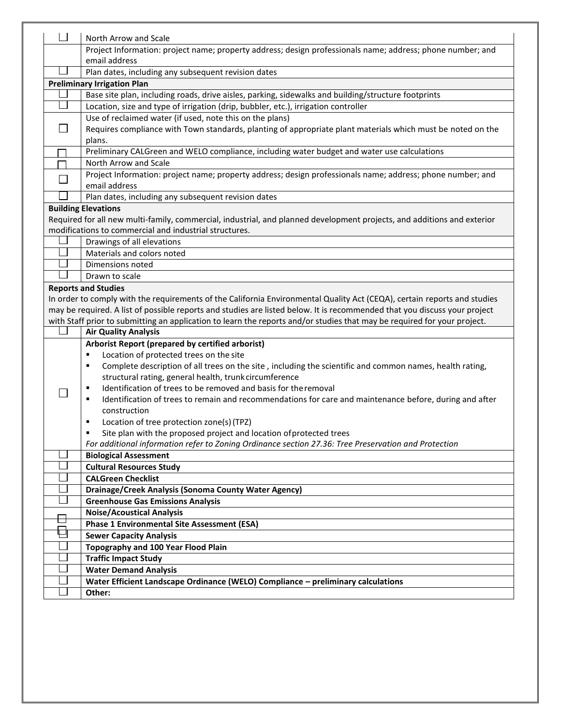|                             | North Arrow and Scale                                                                                                     |
|-----------------------------|---------------------------------------------------------------------------------------------------------------------------|
|                             | Project Information: project name; property address; design professionals name; address; phone number; and                |
|                             | email address                                                                                                             |
|                             | Plan dates, including any subsequent revision dates                                                                       |
|                             | <b>Preliminary Irrigation Plan</b>                                                                                        |
|                             | Base site plan, including roads, drive aisles, parking, sidewalks and building/structure footprints                       |
|                             | Location, size and type of irrigation (drip, bubbler, etc.), irrigation controller                                        |
|                             | Use of reclaimed water (if used, note this on the plans)                                                                  |
| $\sim$                      | Requires compliance with Town standards, planting of appropriate plant materials which must be noted on the               |
|                             | plans.                                                                                                                    |
|                             | Preliminary CALGreen and WELO compliance, including water budget and water use calculations                               |
|                             | North Arrow and Scale                                                                                                     |
| $\mathcal{L}_{\mathcal{A}}$ | Project Information: project name; property address; design professionals name; address; phone number; and                |
|                             | email address                                                                                                             |
|                             | Plan dates, including any subsequent revision dates                                                                       |
|                             | <b>Building Elevations</b>                                                                                                |
|                             | Required for all new multi-family, commercial, industrial, and planned development projects, and additions and exterior   |
|                             | modifications to commercial and industrial structures.                                                                    |
|                             | Drawings of all elevations                                                                                                |
|                             | Materials and colors noted                                                                                                |
|                             | Dimensions noted                                                                                                          |
|                             | Drawn to scale                                                                                                            |
|                             | <b>Reports and Studies</b>                                                                                                |
|                             | In order to comply with the requirements of the California Environmental Quality Act (CEQA), certain reports and studies  |
|                             | may be required. A list of possible reports and studies are listed below. It is recommended that you discuss your project |
|                             | with Staff prior to submitting an application to learn the reports and/or studies that may be required for your project.  |
|                             | <b>Air Quality Analysis</b>                                                                                               |
|                             | Arborist Report (prepared by certified arborist)                                                                          |
|                             | Location of protected trees on the site<br>٠                                                                              |
|                             | Complete description of all trees on the site, including the scientific and common names, health rating,<br>٠             |
|                             | structural rating, general health, trunk circumference                                                                    |
|                             | Identification of trees to be removed and basis for the removal<br>٠                                                      |
|                             | Identification of trees to remain and recommendations for care and maintenance before, during and after<br>٠              |
|                             | construction                                                                                                              |
|                             | Location of tree protection zone(s) (TPZ)<br>٠                                                                            |
|                             | Site plan with the proposed project and location of protected trees<br>٠                                                  |
|                             | For additional information refer to Zoning Ordinance section 27.36: Tree Preservation and Protection                      |
|                             | <b>Biological Assessment</b>                                                                                              |
|                             | <b>Cultural Resources Study</b>                                                                                           |
|                             | <b>CALGreen Checklist</b>                                                                                                 |
|                             | Drainage/Creek Analysis (Sonoma County Water Agency)                                                                      |
|                             | <b>Greenhouse Gas Emissions Analysis</b>                                                                                  |
|                             | <b>Noise/Acoustical Analysis</b>                                                                                          |
|                             | <b>Phase 1 Environmental Site Assessment (ESA)</b>                                                                        |
|                             | <b>Sewer Capacity Analysis</b>                                                                                            |
|                             | <b>Topography and 100 Year Flood Plain</b>                                                                                |
|                             | <b>Traffic Impact Study</b>                                                                                               |
|                             | <b>Water Demand Analysis</b>                                                                                              |
|                             | Water Efficient Landscape Ordinance (WELO) Compliance - preliminary calculations                                          |
|                             | Other:                                                                                                                    |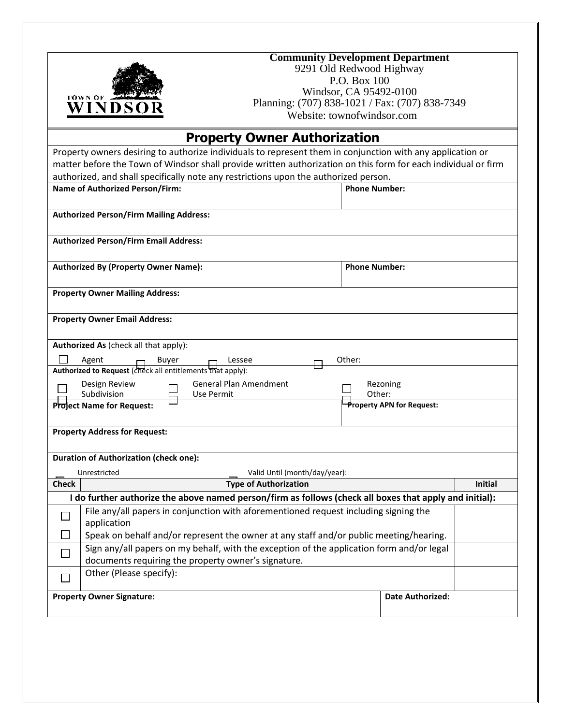| <b>TOWN OF</b><br>WINDSO                                   | <b>Community Development Department</b><br>9291 Old Redwood Highway<br>P.O. Box 100<br>Windsor, CA 95492-0100<br>Planning: (707) 838-1021 / Fax: (707) 838-7349<br>Website: townofwindsor.com |                      |                                  |                |  |
|------------------------------------------------------------|-----------------------------------------------------------------------------------------------------------------------------------------------------------------------------------------------|----------------------|----------------------------------|----------------|--|
|                                                            |                                                                                                                                                                                               |                      |                                  |                |  |
|                                                            | <b>Property Owner Authorization</b><br>Property owners desiring to authorize individuals to represent them in conjunction with any application or                                             |                      |                                  |                |  |
|                                                            | matter before the Town of Windsor shall provide written authorization on this form for each individual or firm                                                                                |                      |                                  |                |  |
|                                                            | authorized, and shall specifically note any restrictions upon the authorized person.                                                                                                          |                      |                                  |                |  |
| <b>Name of Authorized Person/Firm:</b>                     |                                                                                                                                                                                               | <b>Phone Number:</b> |                                  |                |  |
| <b>Authorized Person/Firm Mailing Address:</b>             |                                                                                                                                                                                               |                      |                                  |                |  |
| <b>Authorized Person/Firm Email Address:</b>               |                                                                                                                                                                                               |                      |                                  |                |  |
| <b>Authorized By (Property Owner Name):</b>                |                                                                                                                                                                                               | <b>Phone Number:</b> |                                  |                |  |
| <b>Property Owner Mailing Address:</b>                     |                                                                                                                                                                                               |                      |                                  |                |  |
| <b>Property Owner Email Address:</b>                       |                                                                                                                                                                                               |                      |                                  |                |  |
| Authorized As (check all that apply):                      |                                                                                                                                                                                               |                      |                                  |                |  |
| Agent<br>Buyer                                             | Lessee                                                                                                                                                                                        | Other:               |                                  |                |  |
| Authorized to Request (check all entitlements that apply): |                                                                                                                                                                                               |                      |                                  |                |  |
| Design Review<br>Subdivision                               | <b>General Plan Amendment</b><br>Use Permit                                                                                                                                                   | Other:               | Rezoning                         |                |  |
| Project Name for Request:                                  |                                                                                                                                                                                               |                      | <b>Property APN for Request:</b> |                |  |
|                                                            |                                                                                                                                                                                               |                      |                                  |                |  |
| <b>Property Address for Request:</b>                       |                                                                                                                                                                                               |                      |                                  |                |  |
| <b>Duration of Authorization (check one):</b>              |                                                                                                                                                                                               |                      |                                  |                |  |
| Unrestricted                                               | Valid Until (month/day/year):                                                                                                                                                                 |                      |                                  |                |  |
| <b>Check</b>                                               | <b>Type of Authorization</b>                                                                                                                                                                  |                      |                                  | <b>Initial</b> |  |
|                                                            | I do further authorize the above named person/firm as follows (check all boxes that apply and initial):                                                                                       |                      |                                  |                |  |
| application                                                | File any/all papers in conjunction with aforementioned request including signing the                                                                                                          |                      |                                  |                |  |
|                                                            | Speak on behalf and/or represent the owner at any staff and/or public meeting/hearing.                                                                                                        |                      |                                  |                |  |
|                                                            | Sign any/all papers on my behalf, with the exception of the application form and/or legal<br>documents requiring the property owner's signature.                                              |                      |                                  |                |  |
| Other (Please specify):                                    |                                                                                                                                                                                               |                      |                                  |                |  |
| <b>Property Owner Signature:</b>                           |                                                                                                                                                                                               |                      | <b>Date Authorized:</b>          |                |  |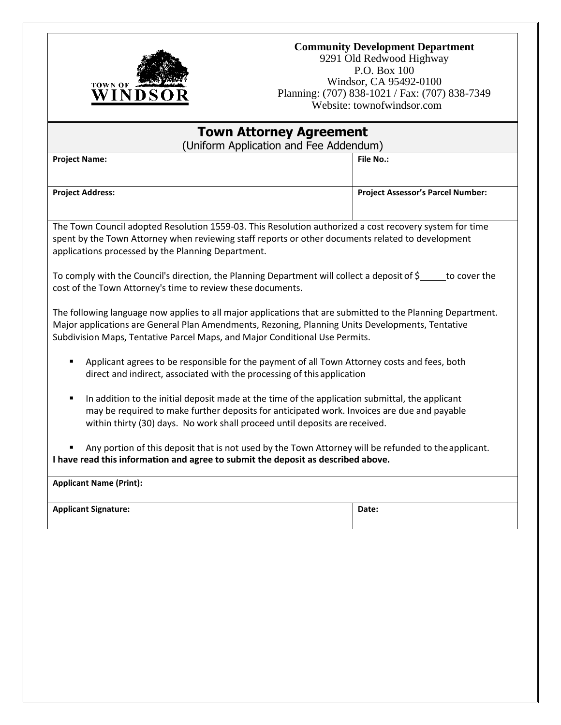

### **Community Development Department**

9291 Old Redwood Highway P.O. Box 100 Windsor, CA 95492-0100 Planning: (707) 838-1021 / Fax: (707) 838-7349 Website: townofwindsor.com

| <b>Town Attorney Agreement</b><br>(Uniform Application and Fee Addendum)                                                                                                                                                                                                                       |                                                                                                                                                                         |  |  |  |  |  |  |
|------------------------------------------------------------------------------------------------------------------------------------------------------------------------------------------------------------------------------------------------------------------------------------------------|-------------------------------------------------------------------------------------------------------------------------------------------------------------------------|--|--|--|--|--|--|
| <b>Project Name:</b>                                                                                                                                                                                                                                                                           | <b>File No.:</b>                                                                                                                                                        |  |  |  |  |  |  |
| <b>Project Address:</b>                                                                                                                                                                                                                                                                        | <b>Project Assessor's Parcel Number:</b>                                                                                                                                |  |  |  |  |  |  |
|                                                                                                                                                                                                                                                                                                |                                                                                                                                                                         |  |  |  |  |  |  |
| The Town Council adopted Resolution 1559-03. This Resolution authorized a cost recovery system for time<br>spent by the Town Attorney when reviewing staff reports or other documents related to development<br>applications processed by the Planning Department.                             |                                                                                                                                                                         |  |  |  |  |  |  |
| To comply with the Council's direction, the Planning Department will collect a deposit of \$_____to cover the<br>cost of the Town Attorney's time to review these documents.                                                                                                                   |                                                                                                                                                                         |  |  |  |  |  |  |
| The following language now applies to all major applications that are submitted to the Planning Department.<br>Major applications are General Plan Amendments, Rezoning, Planning Units Developments, Tentative<br>Subdivision Maps, Tentative Parcel Maps, and Major Conditional Use Permits. |                                                                                                                                                                         |  |  |  |  |  |  |
| ٠                                                                                                                                                                                                                                                                                              | Applicant agrees to be responsible for the payment of all Town Attorney costs and fees, both<br>direct and indirect, associated with the processing of this application |  |  |  |  |  |  |
| In addition to the initial deposit made at the time of the application submittal, the applicant<br>٠<br>may be required to make further deposits for anticipated work. Invoices are due and payable<br>within thirty (30) days. No work shall proceed until deposits are received.             |                                                                                                                                                                         |  |  |  |  |  |  |
| Any portion of this deposit that is not used by the Town Attorney will be refunded to the applicant.<br>I have read this information and agree to submit the deposit as described above.                                                                                                       |                                                                                                                                                                         |  |  |  |  |  |  |
| <b>Applicant Name (Print):</b>                                                                                                                                                                                                                                                                 |                                                                                                                                                                         |  |  |  |  |  |  |
| <b>Applicant Signature:</b><br>Date:                                                                                                                                                                                                                                                           |                                                                                                                                                                         |  |  |  |  |  |  |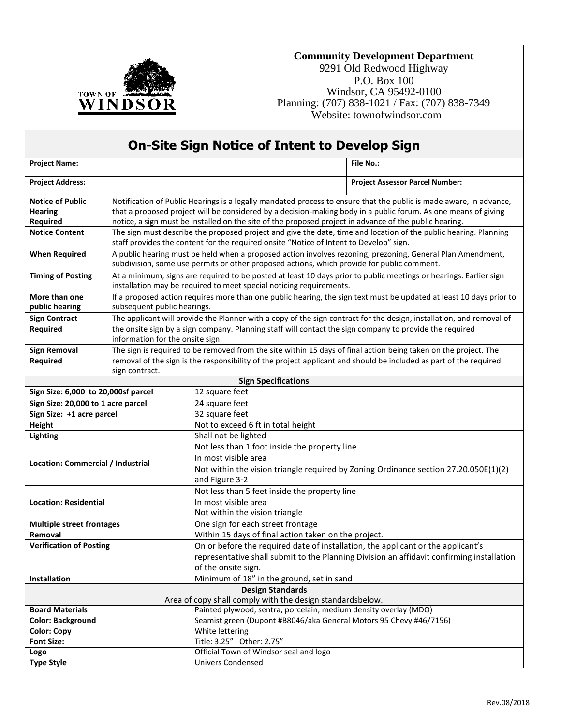

### **Community Development Department**

9291 Old Redwood Highway P.O. Box 100 Windsor, CA 95492-0100 Planning: (707) 838-1021 / Fax: (707) 838-7349 Website: townofwindsor.com

|                                     |                                  | <b>On-Site Sign Notice of Intent to Develop Sign</b>                                                                                                                                                       |  |  |  |  |  |
|-------------------------------------|----------------------------------|------------------------------------------------------------------------------------------------------------------------------------------------------------------------------------------------------------|--|--|--|--|--|
| <b>Project Name:</b>                |                                  | <b>File No.:</b>                                                                                                                                                                                           |  |  |  |  |  |
| <b>Project Address:</b>             |                                  | <b>Project Assessor Parcel Number:</b>                                                                                                                                                                     |  |  |  |  |  |
| <b>Notice of Public</b>             |                                  | Notification of Public Hearings is a legally mandated process to ensure that the public is made aware, in advance,                                                                                         |  |  |  |  |  |
| <b>Hearing</b>                      |                                  | that a proposed project will be considered by a decision-making body in a public forum. As one means of giving                                                                                             |  |  |  |  |  |
| Required                            |                                  | notice, a sign must be installed on the site of the proposed project in advance of the public hearing.                                                                                                     |  |  |  |  |  |
| <b>Notice Content</b>               |                                  | The sign must describe the proposed project and give the date, time and location of the public hearing. Planning<br>staff provides the content for the required onsite "Notice of Intent to Develop" sign. |  |  |  |  |  |
| <b>When Required</b>                |                                  | A public hearing must be held when a proposed action involves rezoning, prezoning, General Plan Amendment,<br>subdivision, some use permits or other proposed actions, which provide for public comment.   |  |  |  |  |  |
| <b>Timing of Posting</b>            |                                  | At a minimum, signs are required to be posted at least 10 days prior to public meetings or hearings. Earlier sign<br>installation may be required to meet special noticing requirements.                   |  |  |  |  |  |
| More than one<br>public hearing     | subsequent public hearings.      | If a proposed action requires more than one public hearing, the sign text must be updated at least 10 days prior to                                                                                        |  |  |  |  |  |
| <b>Sign Contract</b>                |                                  | The applicant will provide the Planner with a copy of the sign contract for the design, installation, and removal of                                                                                       |  |  |  |  |  |
| Required                            | information for the onsite sign. | the onsite sign by a sign company. Planning staff will contact the sign company to provide the required                                                                                                    |  |  |  |  |  |
| <b>Sign Removal</b>                 |                                  | The sign is required to be removed from the site within 15 days of final action being taken on the project. The                                                                                            |  |  |  |  |  |
| Required                            |                                  | removal of the sign is the responsibility of the project applicant and should be included as part of the required                                                                                          |  |  |  |  |  |
|                                     | sign contract.                   |                                                                                                                                                                                                            |  |  |  |  |  |
|                                     |                                  | <b>Sign Specifications</b>                                                                                                                                                                                 |  |  |  |  |  |
| Sign Size: 6,000 to 20,000sf parcel |                                  | 12 square feet                                                                                                                                                                                             |  |  |  |  |  |
| Sign Size: 20,000 to 1 acre parcel  |                                  | 24 square feet                                                                                                                                                                                             |  |  |  |  |  |
| Sign Size: +1 acre parcel           |                                  | 32 square feet                                                                                                                                                                                             |  |  |  |  |  |
| Height                              |                                  | Not to exceed 6 ft in total height                                                                                                                                                                         |  |  |  |  |  |
| <b>Lighting</b>                     |                                  | Shall not be lighted                                                                                                                                                                                       |  |  |  |  |  |
|                                     |                                  | Not less than 1 foot inside the property line                                                                                                                                                              |  |  |  |  |  |
| Location: Commercial / Industrial   |                                  | In most visible area                                                                                                                                                                                       |  |  |  |  |  |
|                                     |                                  | Not within the vision triangle required by Zoning Ordinance section 27.20.050E(1)(2)                                                                                                                       |  |  |  |  |  |
|                                     |                                  | and Figure 3-2                                                                                                                                                                                             |  |  |  |  |  |
|                                     |                                  | Not less than 5 feet inside the property line                                                                                                                                                              |  |  |  |  |  |
| <b>Location: Residential</b>        |                                  | In most visible area                                                                                                                                                                                       |  |  |  |  |  |
|                                     |                                  | Not within the vision triangle                                                                                                                                                                             |  |  |  |  |  |
| <b>Multiple street frontages</b>    |                                  | One sign for each street frontage                                                                                                                                                                          |  |  |  |  |  |
| Removal                             |                                  | Within 15 days of final action taken on the project.                                                                                                                                                       |  |  |  |  |  |
| <b>Verification of Posting</b>      |                                  | On or before the required date of installation, the applicant or the applicant's                                                                                                                           |  |  |  |  |  |
|                                     |                                  | representative shall submit to the Planning Division an affidavit confirming installation                                                                                                                  |  |  |  |  |  |
|                                     |                                  | of the onsite sign.                                                                                                                                                                                        |  |  |  |  |  |
| Installation                        |                                  | Minimum of 18" in the ground, set in sand                                                                                                                                                                  |  |  |  |  |  |
|                                     |                                  | <b>Design Standards</b>                                                                                                                                                                                    |  |  |  |  |  |
|                                     |                                  | Area of copy shall comply with the design standardsbelow.                                                                                                                                                  |  |  |  |  |  |
| <b>Board Materials</b>              |                                  | Painted plywood, sentra, porcelain, medium density overlay (MDO)                                                                                                                                           |  |  |  |  |  |
| <b>Color: Background</b>            |                                  | Seamist green (Dupont #B8046/aka General Motors 95 Chevy #46/7156)                                                                                                                                         |  |  |  |  |  |
| <b>Color: Copy</b>                  |                                  | White lettering                                                                                                                                                                                            |  |  |  |  |  |
| <b>Font Size:</b>                   |                                  | Title: 3.25" Other: 2.75"                                                                                                                                                                                  |  |  |  |  |  |
| Logo                                |                                  | Official Town of Windsor seal and logo                                                                                                                                                                     |  |  |  |  |  |
| <b>Type Style</b>                   |                                  | <b>Univers Condensed</b>                                                                                                                                                                                   |  |  |  |  |  |